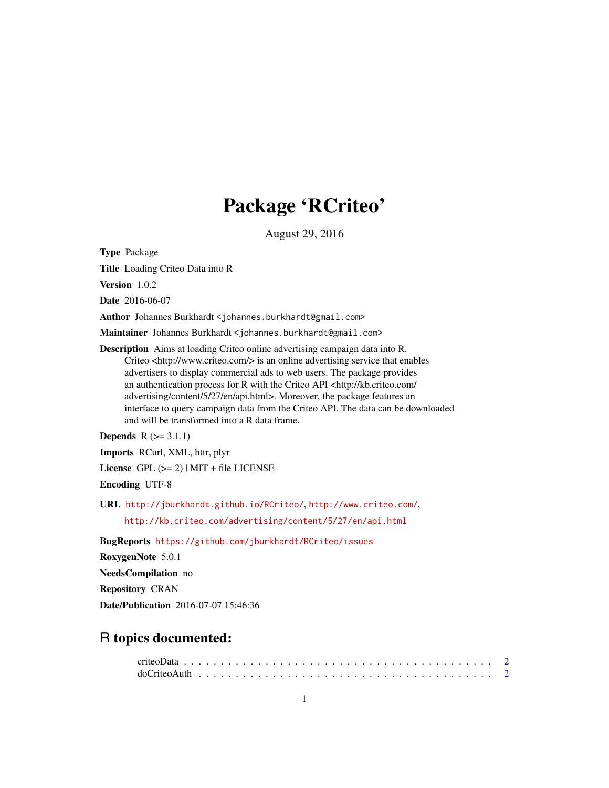## Package 'RCriteo'

August 29, 2016

Type Package

Title Loading Criteo Data into R

Version 1.0.2

Date 2016-06-07

Author Johannes Burkhardt <johannes.burkhardt@gmail.com>

Maintainer Johannes Burkhardt <johannes.burkhardt@gmail.com>

Description Aims at loading Criteo online advertising campaign data into R. Criteo <http://www.criteo.com/> is an online advertising service that enables advertisers to display commercial ads to web users. The package provides an authentication process for R with the Criteo API <http://kb.criteo.com/ advertising/content/5/27/en/api.html>. Moreover, the package features an interface to query campaign data from the Criteo API. The data can be downloaded and will be transformed into a R data frame.

**Depends**  $R$  ( $> = 3.1.1$ )

Imports RCurl, XML, httr, plyr

License GPL  $(>= 2)$  | MIT + file LICENSE

Encoding UTF-8

URL <http://jburkhardt.github.io/RCriteo/>, <http://www.criteo.com/>,

<http://kb.criteo.com/advertising/content/5/27/en/api.html>

BugReports <https://github.com/jburkhardt/RCriteo/issues>

RoxygenNote 5.0.1

NeedsCompilation no

Repository CRAN

Date/Publication 2016-07-07 15:46:36

### R topics documented: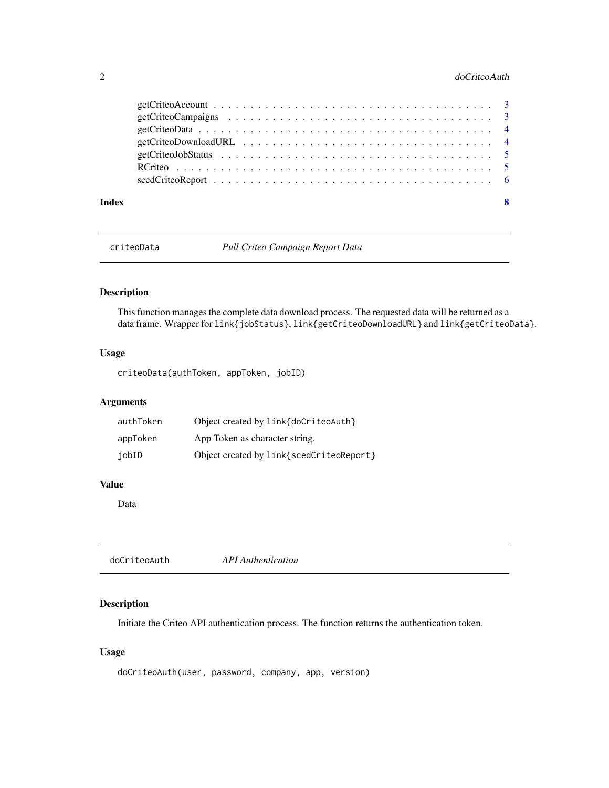#### <span id="page-1-0"></span>2 do Criteo Auth

| Index | -8 |
|-------|----|

<span id="page-1-2"></span>criteoData *Pull Criteo Campaign Report Data*

#### Description

This function manages the complete data download process. The requested data will be returned as a data frame. Wrapper for link{jobStatus}, link{getCriteoDownloadURL} and link{getCriteoData}.

#### Usage

criteoData(authToken, appToken, jobID)

#### Arguments

| authToken | Object created by link{doCriteoAuth}     |
|-----------|------------------------------------------|
| appToken  | App Token as character string.           |
| jobID     | Object created by link{scedCriteoReport} |

#### Value

Data

<span id="page-1-1"></span>

| doCriteoAuth | <b>API</b> Authentication |  |
|--------------|---------------------------|--|
|              |                           |  |

#### Description

Initiate the Criteo API authentication process. The function returns the authentication token.

#### Usage

```
doCriteoAuth(user, password, company, app, version)
```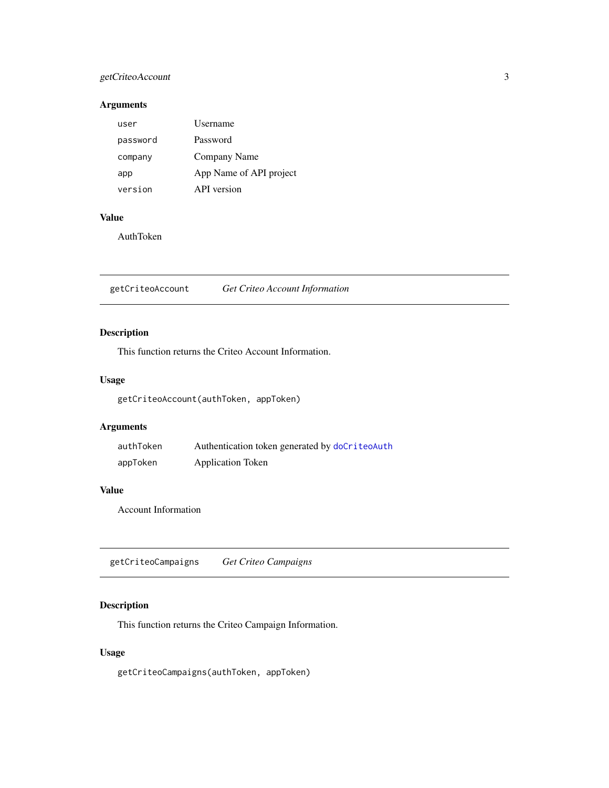#### <span id="page-2-0"></span>getCriteoAccount 3

#### Arguments

| user     | Username                |
|----------|-------------------------|
| password | Password                |
| company  | Company Name            |
| app      | App Name of API project |
| version  | API version             |

#### Value

AuthToken

<span id="page-2-1"></span>getCriteoAccount *Get Criteo Account Information*

#### Description

This function returns the Criteo Account Information.

#### Usage

getCriteoAccount(authToken, appToken)

#### Arguments

| authToken | Authentication token generated by doCriteoAuth |
|-----------|------------------------------------------------|
| appToken  | <b>Application Token</b>                       |

#### Value

Account Information

<span id="page-2-2"></span>getCriteoCampaigns *Get Criteo Campaigns*

#### Description

This function returns the Criteo Campaign Information.

#### Usage

getCriteoCampaigns(authToken, appToken)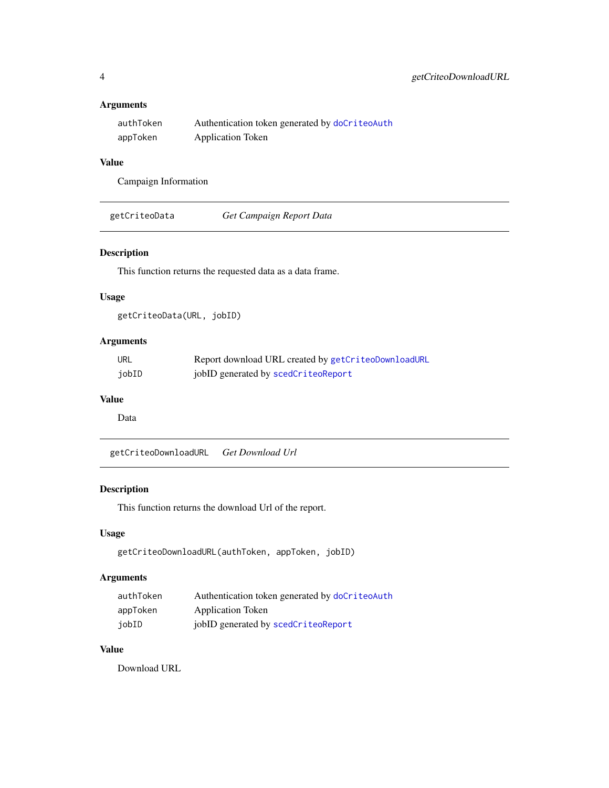#### <span id="page-3-0"></span>Arguments

| authToken | Authentication token generated by doCriteoAuth |
|-----------|------------------------------------------------|
| appToken  | <b>Application Token</b>                       |

#### Value

Campaign Information

<span id="page-3-2"></span>

| getCriteoData | Get Campaign Report Data |  |
|---------------|--------------------------|--|
|---------------|--------------------------|--|

#### Description

This function returns the requested data as a data frame.

#### Usage

getCriteoData(URL, jobID)

#### Arguments

| URL   | Report download URL created by getCriteoDownloadURL |
|-------|-----------------------------------------------------|
| jobID | jobID generated by scedCriteoReport                 |

#### Value

Data

<span id="page-3-1"></span>getCriteoDownloadURL *Get Download Url*

#### Description

This function returns the download Url of the report.

#### Usage

```
getCriteoDownloadURL(authToken, appToken, jobID)
```
#### Arguments

| authToken | Authentication token generated by doCriteoAuth |
|-----------|------------------------------------------------|
| appToken  | <b>Application Token</b>                       |
| iobID     | jobID generated by scedCriteoReport            |

#### Value

Download URL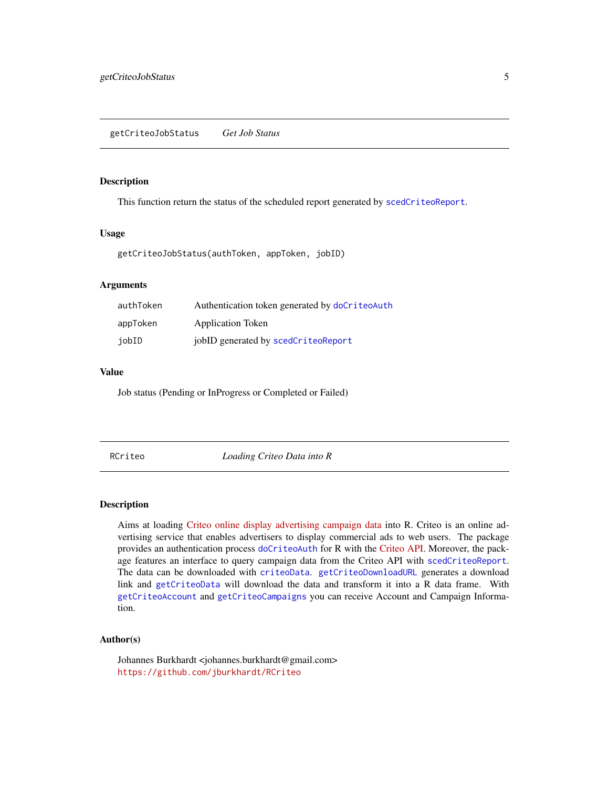#### <span id="page-4-0"></span>Description

This function return the status of the scheduled report generated by [scedCriteoReport](#page-5-1).

#### Usage

getCriteoJobStatus(authToken, appToken, jobID)

#### Arguments

| authToken | Authentication token generated by doCriteoAuth |
|-----------|------------------------------------------------|
| appToken  | Application Token                              |
| jobID     | jobID generated by scedCriteoReport            |

#### Value

Job status (Pending or InProgress or Completed or Failed)

RCriteo *Loading Criteo Data into R*

#### Description

Aims at loading [Criteo online display advertising campaign data](http://www.criteo.com/) into R. Criteo is an online advertising service that enables advertisers to display commercial ads to web users. The package provides an authentication process [doCriteoAuth](#page-1-1) for R with the [Criteo API.](http://kb.criteo.com/advertising/content/5/27/en/api.html) Moreover, the package features an interface to query campaign data from the Criteo API with [scedCriteoReport](#page-5-1). The data can be downloaded with [criteoData](#page-1-2). [getCriteoDownloadURL](#page-3-1) generates a download link and [getCriteoData](#page-3-2) will download the data and transform it into a R data frame. With [getCriteoAccount](#page-2-1) and [getCriteoCampaigns](#page-2-2) you can receive Account and Campaign Information.

#### Author(s)

Johannes Burkhardt <johannes.burkhardt@gmail.com> <https://github.com/jburkhardt/RCriteo>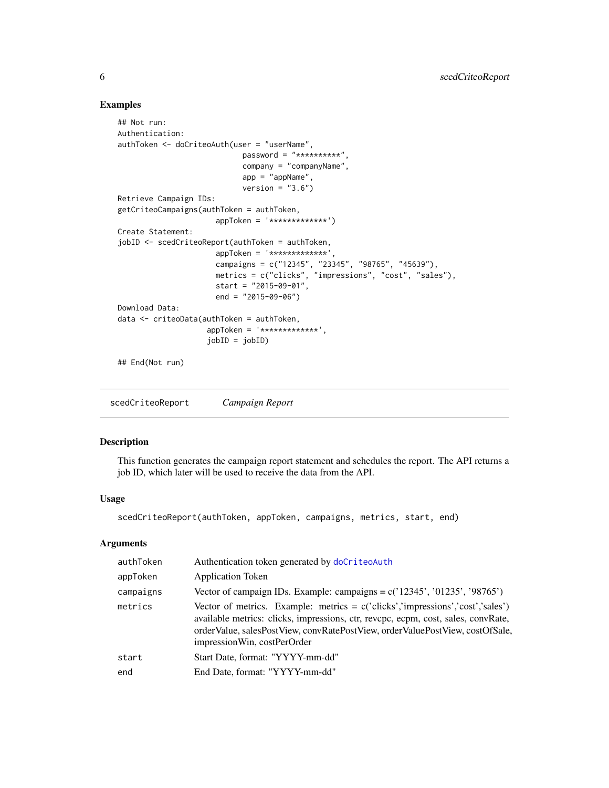#### Examples

```
## Not run:
Authentication:
authToken <- doCriteoAuth(user = "userName",
                            password = "**********",
                            company = "companyName",
                            app = "appName",
                            version = "3.6")Retrieve Campaign IDs:
getCriteoCampaigns(authToken = authToken,
                      appToken = '*************')
Create Statement:
jobID <- scedCriteoReport(authToken = authToken,
                      appToken = '*************',
                      campaigns = c("12345", "23345", "98765", "45639"),
                      metrics = c("clicks", "impressions", "cost", "sales"),
                      start = "2015-09-01",
                      end = "2015-09-06")
Download Data:
data <- criteoData(authToken = authToken,
                    appToken = '*************',
                    jobID = jobID)
## End(Not run)
```
<span id="page-5-1"></span>scedCriteoReport *Campaign Report*

#### Description

This function generates the campaign report statement and schedules the report. The API returns a job ID, which later will be used to receive the data from the API.

#### Usage

scedCriteoReport(authToken, appToken, campaigns, metrics, start, end)

#### Arguments

| authToken | Authentication token generated by doCriteoAuth                                                                                                                                                                                                                                                 |
|-----------|------------------------------------------------------------------------------------------------------------------------------------------------------------------------------------------------------------------------------------------------------------------------------------------------|
| appToken  | <b>Application Token</b>                                                                                                                                                                                                                                                                       |
| campaigns | Vector of campaign IDs. Example: campaigns = $c('12345', '01235', '98765')$                                                                                                                                                                                                                    |
| metrics   | Vector of metrics. Example: metrics = $c('clicks', 'impressions', 'cost', 'sales')$<br>available metrics: clicks, impressions, ctr, revcpc, ecpm, cost, sales, convRate,<br>order Value, sales Post View, convRatePost View, order ValuePost View, costOfSale,<br>impression Win, costPerOrder |
| start     | Start Date, format: "YYYY-mm-dd"                                                                                                                                                                                                                                                               |
| end       | End Date, format: "YYYY-mm-dd"                                                                                                                                                                                                                                                                 |
|           |                                                                                                                                                                                                                                                                                                |

<span id="page-5-0"></span>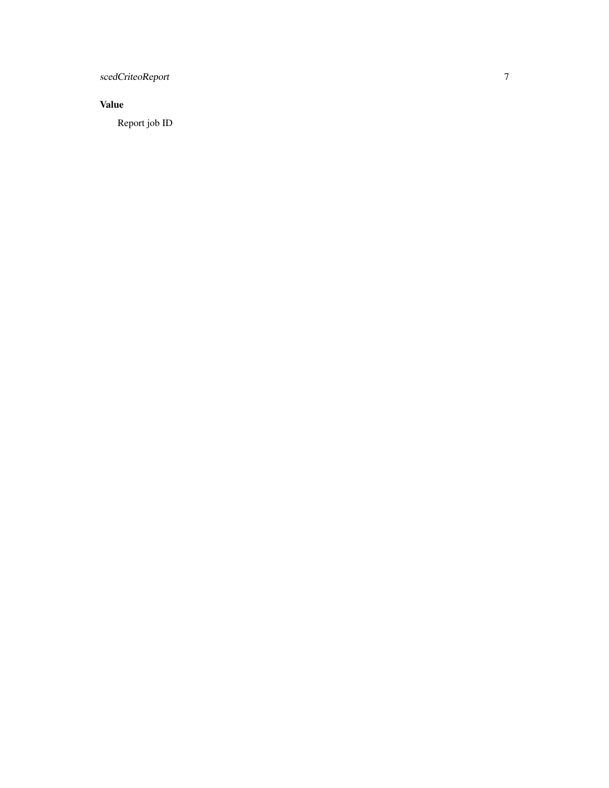scedCriteoReport

#### Value

Report job ID